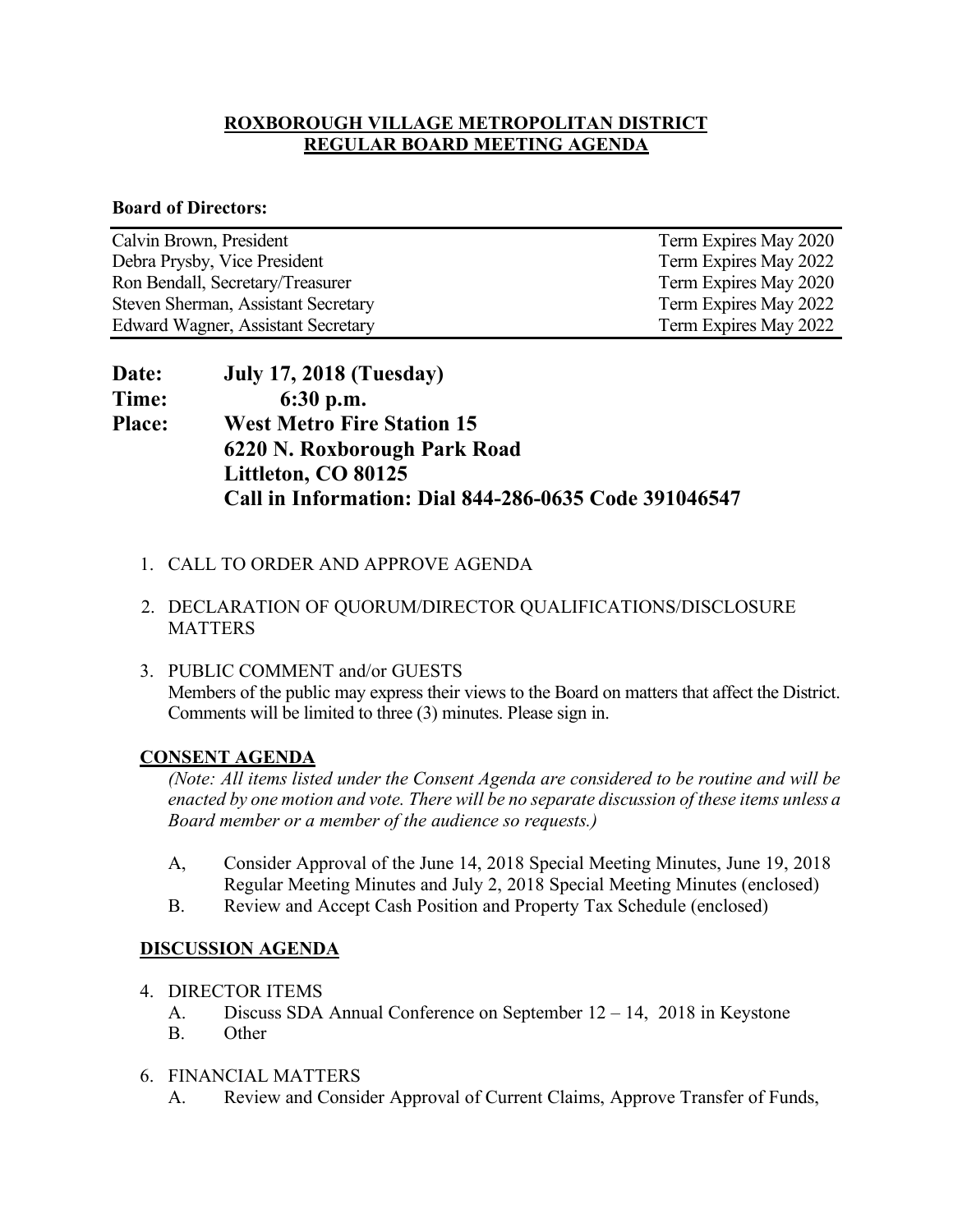#### **ROXBOROUGH VILLAGE METROPOLITAN DISTRICT REGULAR BOARD MEETING AGENDA**

#### **Board of Directors:**

| Calvin Brown, President                   | Term Expires May 2020 |
|-------------------------------------------|-----------------------|
| Debra Prysby, Vice President              | Term Expires May 2022 |
| Ron Bendall, Secretary/Treasurer          | Term Expires May 2020 |
| Steven Sherman, Assistant Secretary       | Term Expires May 2022 |
| <b>Edward Wagner, Assistant Secretary</b> | Term Expires May 2022 |

| Date:         | <b>July 17, 2018 (Tuesday)</b>                        |
|---------------|-------------------------------------------------------|
| Time:         | $6:30$ p.m.                                           |
| <b>Place:</b> | <b>West Metro Fire Station 15</b>                     |
|               | 6220 N. Roxborough Park Road                          |
|               | Littleton, CO 80125                                   |
|               | Call in Information: Dial 844-286-0635 Code 391046547 |

- 1. CALL TO ORDER AND APPROVE AGENDA
- 2. DECLARATION OF QUORUM/DIRECTOR QUALIFICATIONS/DISCLOSURE **MATTERS**
- 3. PUBLIC COMMENT and/or GUESTS Members of the public may express their views to the Board on matters that affect the District. Comments will be limited to three (3) minutes. Please sign in.

# **CONSENT AGENDA**

*(Note: All items listed under the Consent Agenda are considered to be routine and will be enacted by one motion and vote. There will be no separate discussion of these items unless a Board member or a member of the audience so requests.)* 

- A, Consider Approval of the June 14, 2018 Special Meeting Minutes, June 19, 2018 Regular Meeting Minutes and July 2, 2018 Special Meeting Minutes (enclosed)
- B. Review and Accept Cash Position and Property Tax Schedule (enclosed)

#### **DISCUSSION AGENDA**

- 4. DIRECTOR ITEMS
	- A. Discuss SDA Annual Conference on September 12 14, 2018 in Keystone
	- B. Other
- 6. FINANCIAL MATTERS
	- A. Review and Consider Approval of Current Claims, Approve Transfer of Funds,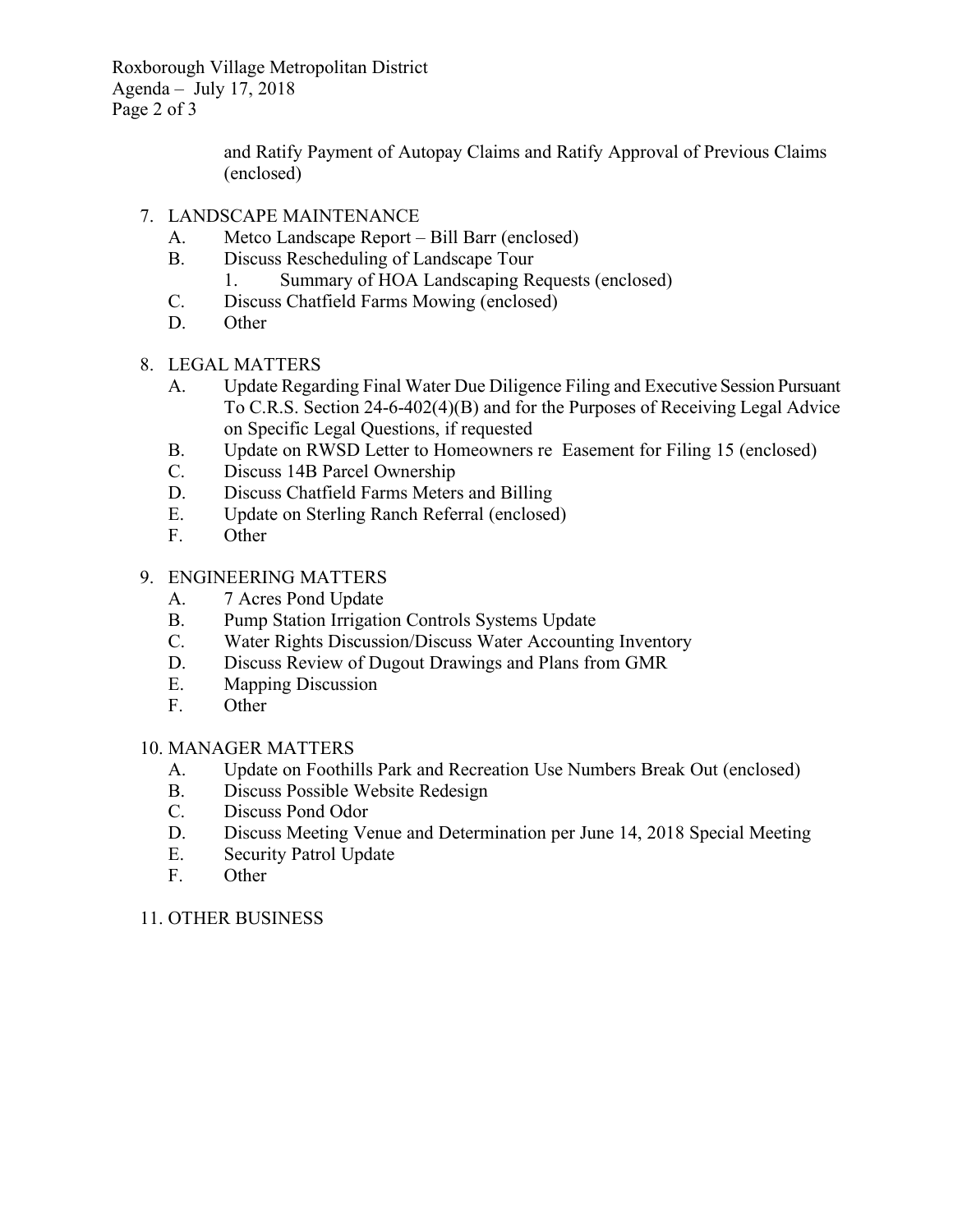Roxborough Village Metropolitan District Agenda – July 17, 2018 Page 2 of 3

> and Ratify Payment of Autopay Claims and Ratify Approval of Previous Claims (enclosed)

- 7. LANDSCAPE MAINTENANCE
	- A. Metco Landscape Report Bill Barr (enclosed)
	- B. Discuss Rescheduling of Landscape Tour
		- 1. Summary of HOA Landscaping Requests (enclosed)
	- C. Discuss Chatfield Farms Mowing (enclosed)
	- D. Other
- 8. LEGAL MATTERS
	- A. Update Regarding Final Water Due Diligence Filing and Executive Session Pursuant To C.R.S. Section 24-6-402(4)(B) and for the Purposes of Receiving Legal Advice on Specific Legal Questions, if requested
	- B. Update on RWSD Letter to Homeowners re Easement for Filing 15 (enclosed)
	- C. Discuss 14B Parcel Ownership
	- D. Discuss Chatfield Farms Meters and Billing
	- E. Update on Sterling Ranch Referral (enclosed)
	- F. Other

# 9. ENGINEERING MATTERS

- A. 7 Acres Pond Update
- B. Pump Station Irrigation Controls Systems Update
- C. Water Rights Discussion/Discuss Water Accounting Inventory
- D. Discuss Review of Dugout Drawings and Plans from GMR
- E. Mapping Discussion
- F. Other

# 10. MANAGER MATTERS

- A. Update on Foothills Park and Recreation Use Numbers Break Out (enclosed)
- B. Discuss Possible Website Redesign
- C. Discuss Pond Odor
- D. Discuss Meeting Venue and Determination per June 14, 2018 Special Meeting
- E. Security Patrol Update
- F. Other

# 11. OTHER BUSINESS